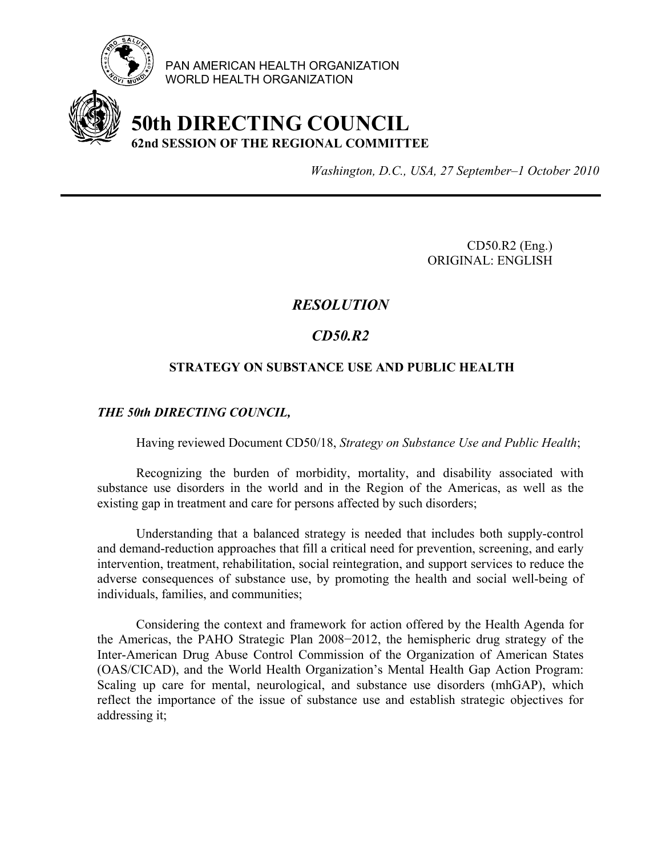

PAN AMERICAN HEALTH ORGANIZATION WORLD HEALTH ORGANIZATION

# **50th DIRECTING COUNCIL 62nd SESSION OF THE REGIONAL COMMITTEE**

*Washington, D.C., USA, 27 September–1 October 2010*

CD50.R2 (Eng.) ORIGINAL: ENGLISH

# *RESOLUTION*

# *CD50.R2*

### **STRATEGY ON SUBSTANCE USE AND PUBLIC HEALTH**

#### *THE 50th DIRECTING COUNCIL,*

Having reviewed Document CD50/18, *Strategy on Substance Use and Public Health*;

 Recognizing the burden of morbidity, mortality, and disability associated with substance use disorders in the world and in the Region of the Americas, as well as the existing gap in treatment and care for persons affected by such disorders;

 Understanding that a balanced strategy is needed that includes both supply-control and demand-reduction approaches that fill a critical need for prevention, screening, and early intervention, treatment, rehabilitation, social reintegration, and support services to reduce the adverse consequences of substance use, by promoting the health and social well-being of individuals, families, and communities;

 Considering the context and framework for action offered by the Health Agenda for the Americas, the PAHO Strategic Plan 2008−2012, the hemispheric drug strategy of the Inter-American Drug Abuse Control Commission of the Organization of American States (OAS/CICAD), and the World Health Organization's Mental Health Gap Action Program: Scaling up care for mental, neurological, and substance use disorders (mhGAP), which reflect the importance of the issue of substance use and establish strategic objectives for addressing it;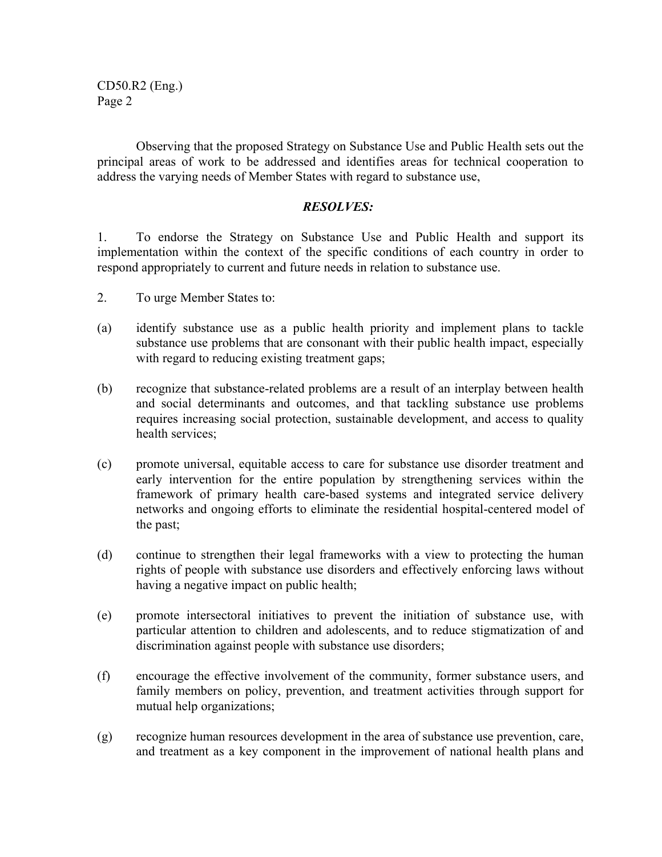CD50.R2 (Eng.) Page 2

 Observing that the proposed Strategy on Substance Use and Public Health sets out the principal areas of work to be addressed and identifies areas for technical cooperation to address the varying needs of Member States with regard to substance use,

#### *RESOLVES:*

1. To endorse the Strategy on Substance Use and Public Health and support its implementation within the context of the specific conditions of each country in order to respond appropriately to current and future needs in relation to substance use.

- 2. To urge Member States to:
- (a) identify substance use as a public health priority and implement plans to tackle substance use problems that are consonant with their public health impact, especially with regard to reducing existing treatment gaps;
- (b) recognize that substance-related problems are a result of an interplay between health and social determinants and outcomes, and that tackling substance use problems requires increasing social protection, sustainable development, and access to quality health services;
- (c) promote universal, equitable access to care for substance use disorder treatment and early intervention for the entire population by strengthening services within the framework of primary health care-based systems and integrated service delivery networks and ongoing efforts to eliminate the residential hospital-centered model of the past;
- (d) continue to strengthen their legal frameworks with a view to protecting the human rights of people with substance use disorders and effectively enforcing laws without having a negative impact on public health;
- (e) promote intersectoral initiatives to prevent the initiation of substance use, with particular attention to children and adolescents, and to reduce stigmatization of and discrimination against people with substance use disorders;
- (f) encourage the effective involvement of the community, former substance users, and family members on policy, prevention, and treatment activities through support for mutual help organizations;
- (g) recognize human resources development in the area of substance use prevention, care, and treatment as a key component in the improvement of national health plans and